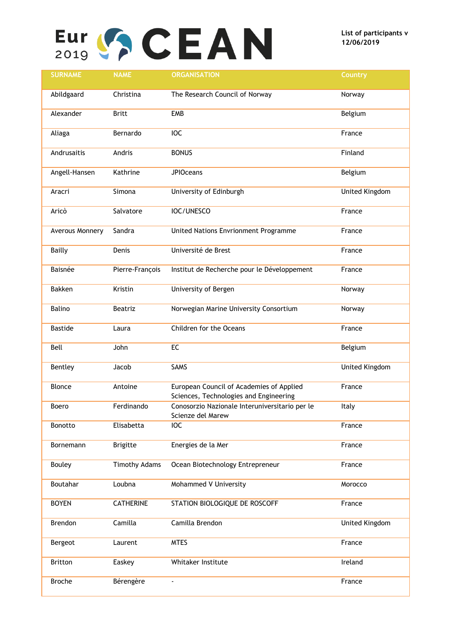## $\sum_{2019}$   $\binom{6}{2}$   $\binom{1}{2}$   $\binom{1}{3}$   $\binom{1}{2}$   $\binom{1}{2}$   $\binom{1}{2}$   $\binom{1}{2}$   $\binom{1}{2}$   $\binom{1}{2}$   $\binom{1}{2}$   $\binom{1}{2}$   $\binom{1}{2}$   $\binom{1}{2}$   $\binom{1}{2}$   $\binom{1}{2}$   $\binom{1}{2}$   $\binom{1}{2}$   $\binom{1}{2}$   $\binom{1}{2}$

| <b>SURNAME</b>  | <b>NAME</b>          | <b>ORGANISATION</b>                                                                | <b>Country</b> |
|-----------------|----------------------|------------------------------------------------------------------------------------|----------------|
| Abildgaard      | Christina            | The Research Council of Norway                                                     | Norway         |
| Alexander       | <b>Britt</b>         | <b>EMB</b>                                                                         | Belgium        |
| Aliaga          | Bernardo             | <b>IOC</b>                                                                         | France         |
| Andrusaitis     | Andris               | <b>BONUS</b>                                                                       | Finland        |
| Angell-Hansen   | Kathrine             | <b>JPIOceans</b>                                                                   | Belgium        |
| Aracri          | Simona               | University of Edinburgh                                                            | United Kingdom |
| Aricò           | Salvatore            | IOC/UNESCO                                                                         | France         |
| Averous Monnery | Sandra               | United Nations Envrionment Programme                                               | France         |
| <b>Bailly</b>   | Denis                | Université de Brest                                                                | France         |
| <b>Baisnée</b>  | Pierre-François      | Institut de Recherche pour le Développement                                        | France         |
| <b>Bakken</b>   | Kristin              | University of Bergen                                                               | Norway         |
| Balino          | Beatriz              | Norwegian Marine University Consortium                                             | Norway         |
| <b>Bastide</b>  | Laura                | Children for the Oceans                                                            | France         |
| Bell            | John                 | EC                                                                                 | Belgium        |
| Bentley         | Jacob                | SAMS                                                                               | United Kingdom |
| Blonce          | Antoine              | European Council of Academies of Applied<br>Sciences, Technologies and Engineering | France         |
| Boero           | Ferdinando           | Conosorzio Nazionale Interuniversitario per le<br>Scienze del Marew                | Italy          |
| Bonotto         | Elisabetta           | IOC                                                                                | France         |
| Bornemann       | <b>Brigitte</b>      | Energies de la Mer                                                                 | France         |
| <b>Bouley</b>   | <b>Timothy Adams</b> | Ocean Biotechnology Entrepreneur                                                   | France         |
| Boutahar        | Loubna               | Mohammed V University                                                              | Morocco        |
| <b>BOYEN</b>    | <b>CATHERINE</b>     | STATION BIOLOGIQUE DE ROSCOFF                                                      | France         |
| Brendon         | Camilla              | Camilla Brendon                                                                    | United Kingdom |
| Bergeot         | Laurent              | <b>MTES</b>                                                                        | France         |
| <b>Britton</b>  | Easkey               | Whitaker Institute                                                                 | Ireland        |
| <b>Broche</b>   | Bérengère            | $\blacksquare$                                                                     | France         |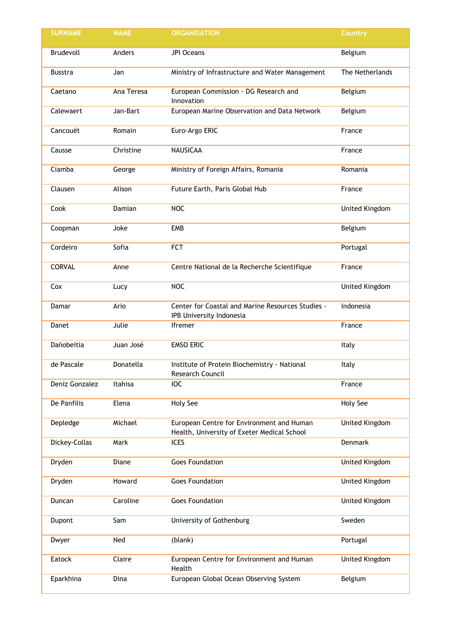| <b>SURNAME</b> | <b>NAME</b> | <b>ORGANISATION</b>                                                                      | Country         |
|----------------|-------------|------------------------------------------------------------------------------------------|-----------------|
| Brudevoll      | Anders      | JPI Oceans                                                                               | Belgium         |
| <b>Busstra</b> | Jan         | Ministry of Infrastructure and Water Management                                          | The Netherlands |
| Caetano        | Ana Teresa  | European Commission - DG Research and<br>Innovation                                      | Belgium         |
| Calewaert      | Jan-Bart    | European Marine Observation and Data Network                                             | Belgium         |
| Cancouët       | Romain      | Euro-Argo ERIC                                                                           | France          |
| Causse         | Christine   | <b>NAUSICAA</b>                                                                          | France          |
| Ciamba         | George      | Ministry of Foreign Affairs, Romania                                                     | Romania         |
| Clausen        | Alison      | Future Earth, Paris Global Hub                                                           | France          |
| Cook           | Damian      | <b>NOC</b>                                                                               | United Kingdom  |
| Coopman        | Joke        | <b>EMB</b>                                                                               | Belgium         |
| Cordeiro       | Sofia       | <b>FCT</b>                                                                               | Portugal        |
| CORVAL         | Anne        | Centre National de la Recherche Scientifique                                             | France          |
| Cox            | Lucy        | <b>NOC</b>                                                                               | United Kingdom  |
| Damar          | Ario        | Center for Coastal and Marine Resources Studies -<br>IPB University Indonesia            | Indonesia       |
| Danet          | Julie       | <b>Ifremer</b>                                                                           | France          |
| Dañobeitia     | Juan José   | <b>EMSO ERIC</b>                                                                         | Italy           |
| de Pascale     | Donatella   | Institute of Protein Biochemistry - National<br>Research Council                         | Italy           |
| Deniz Gonzalez | Itahisa     | <b>IOC</b>                                                                               | France          |
| De Panfilis    | Elena       | <b>Holy See</b>                                                                          | <b>Holy See</b> |
| Depledge       | Michael     | European Centre for Environment and Human<br>Health, University of Exeter Medical School | United Kingdom  |
| Dickey-Collas  | Mark        | <b>ICES</b>                                                                              | Denmark         |
| Dryden         | Diane       | <b>Goes Foundation</b>                                                                   | United Kingdom  |
| Dryden         | Howard      | <b>Goes Foundation</b>                                                                   | United Kingdom  |
| Duncan         | Caroline    | <b>Goes Foundation</b>                                                                   | United Kingdom  |
| Dupont         | Sam         | University of Gothenburg                                                                 | Sweden          |
| Dwyer          | Ned         | (blank)                                                                                  | Portugal        |
| Eatock         | Claire      | European Centre for Environment and Human<br>Health                                      | United Kingdom  |
| Eparkhina      | Dina        | European Global Ocean Observing System                                                   | Belgium         |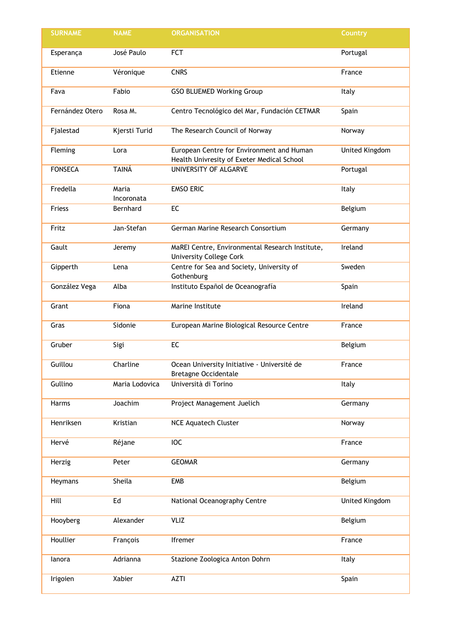| <b>SURNAME</b>  | <b>NAME</b>         | <b>ORGANISATION</b>                                                                     | Country        |
|-----------------|---------------------|-----------------------------------------------------------------------------------------|----------------|
| Esperança       | José Paulo          | <b>FCT</b>                                                                              | Portugal       |
| Etienne         | Véronique           | <b>CNRS</b>                                                                             | France         |
| Fava            | Fabio               | <b>GSO BLUEMED Working Group</b>                                                        | Italy          |
| Fernández Otero | Rosa M.             | Centro Tecnológico del Mar, Fundación CETMAR                                            | Spain          |
| Fjalestad       | Kjersti Turid       | The Research Council of Norway                                                          | Norway         |
| Fleming         | Lora                | European Centre for Environment and Human<br>Health Univresity of Exeter Medical School | United Kingdom |
| <b>FONSECA</b>  | <b>TAINÁ</b>        | UNIVERSITY OF ALGARVE                                                                   | Portugal       |
| Fredella        | Maria<br>Incoronata | <b>EMSO ERIC</b>                                                                        | Italy          |
| Friess          | Bernhard            | EC                                                                                      | Belgium        |
| Fritz           | Jan-Stefan          | German Marine Research Consortium                                                       | Germany        |
| Gault           | Jeremy              | MaREI Centre, Environmental Research Institute,<br><b>University College Cork</b>       | Ireland        |
| Gipperth        | Lena                | Centre for Sea and Society, University of<br>Gothenburg                                 | Sweden         |
| González Vega   | Alba                | Instituto Español de Oceanografía                                                       | Spain          |
| Grant           | Fiona               | Marine Institute                                                                        | Ireland        |
| Gras            | Sidonie             | European Marine Biological Resource Centre                                              | France         |
| Gruber          | Sigi                | EC                                                                                      | Belgium        |
| Guillou         | Charline            | Ocean University Initiative - Université de<br><b>Bretagne Occidentale</b>              | France         |
| Gullino         | Maria Lodovica      | Università di Torino                                                                    | Italy          |
| Harms           | Joachim             | Project Management Juelich                                                              | Germany        |
| Henriksen       | Kristian            | <b>NCE Aquatech Cluster</b>                                                             | Norway         |
| Hervé           | Réjane              | <b>IOC</b>                                                                              | France         |
| Herzig          | Peter               | <b>GEOMAR</b>                                                                           | Germany        |
| Heymans         | Sheila              | <b>EMB</b>                                                                              | Belgium        |
| Hill            | Ed                  | National Oceanography Centre                                                            | United Kingdom |
| Hooyberg        | Alexander           | VLIZ                                                                                    | Belgium        |
| Houllier        | François            | Ifremer                                                                                 | France         |
| lanora          | Adrianna            | Stazione Zoologica Anton Dohrn                                                          | Italy          |
| Irigoien        | Xabier              | <b>AZTI</b>                                                                             | Spain          |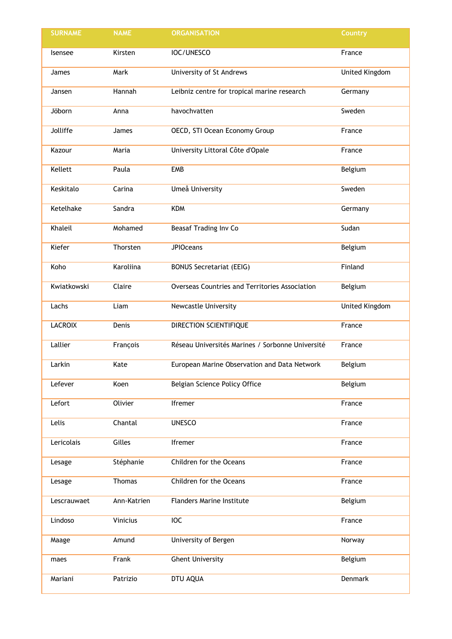| <b>SURNAME</b> | <b>NAME</b>   | <b>ORGANISATION</b>                              | Country        |
|----------------|---------------|--------------------------------------------------|----------------|
| Isensee        | Kirsten       | IOC/UNESCO                                       | France         |
| James          | Mark          | University of St Andrews                         | United Kingdom |
| Jansen         | Hannah        | Leibniz centre for tropical marine research      | Germany        |
| Jöborn         | Anna          | havochvatten                                     | Sweden         |
| Jolliffe       | James         | OECD, STI Ocean Economy Group                    | France         |
| Kazour         | Maria         | University Littoral Côte d'Opale                 | France         |
| Kellett        | Paula         | <b>EMB</b>                                       | Belgium        |
| Keskitalo      | Carina        | Umeå University                                  | Sweden         |
| Ketelhake      | Sandra        | <b>KDM</b>                                       | Germany        |
| Khaleil        | Mohamed       | Beasaf Trading Inv Co                            | Sudan          |
| Kiefer         | Thorsten      | <b>JPIOceans</b>                                 | Belgium        |
| Koho           | Karoliina     | <b>BONUS Secretariat (EEIG)</b>                  | Finland        |
| Kwiatkowski    | Claire        | Overseas Countries and Territories Association   | Belgium        |
| Lachs          | Liam          | Newcastle University                             | United Kingdom |
| <b>LACROIX</b> | Denis         | DIRECTION SCIENTIFIQUE                           | France         |
| Lallier        | François      | Réseau Universités Marines / Sorbonne Université | France         |
| Larkin         | Kate          | European Marine Observation and Data Network     | Belgium        |
| Lefever        | Koen          | Belgian Science Policy Office                    | Belgium        |
| Lefort         | Olivier       | Ifremer                                          | France         |
| Lelis          | Chantal       | <b>UNESCO</b>                                    | France         |
| Lericolais     | Gilles        | Ifremer                                          | France         |
| Lesage         | Stéphanie     | Children for the Oceans                          | France         |
| Lesage         | <b>Thomas</b> | Children for the Oceans                          | France         |
| Lescrauwaet    | Ann-Katrien   | <b>Flanders Marine Institute</b>                 | Belgium        |
| Lindoso        | Vinicius      | IOC                                              | France         |
| Maage          | Amund         | University of Bergen                             | Norway         |
| maes           | Frank         | <b>Ghent University</b>                          | Belgium        |
| Mariani        | Patrizio      | DTU AQUA                                         | Denmark        |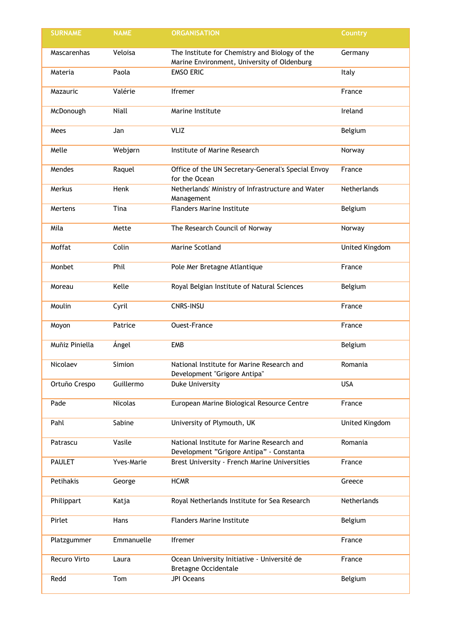| <b>SURNAME</b> | <b>NAME</b>    | <b>ORGANISATION</b>                                                                           | Country        |
|----------------|----------------|-----------------------------------------------------------------------------------------------|----------------|
| Mascarenhas    | Veloisa        | The Institute for Chemistry and Biology of the<br>Marine Environment, University of Oldenburg | Germany        |
| Materia        | Paola          | <b>EMSO ERIC</b>                                                                              | Italy          |
| Mazauric       | Valérie        | Ifremer                                                                                       | France         |
| McDonough      | Niall          | Marine Institute                                                                              | Ireland        |
| Mees           | Jan            | VLIZ                                                                                          | Belgium        |
| Melle          | Webjørn        | Institute of Marine Research                                                                  | Norway         |
| Mendes         | Raquel         | Office of the UN Secretary-General's Special Envoy<br>for the Ocean                           | France         |
| Merkus         | Henk           | Netherlands' Ministry of Infrastructure and Water<br>Management                               | Netherlands    |
| Mertens        | Tina           | <b>Flanders Marine Institute</b>                                                              | Belgium        |
| Mila           | Mette          | The Research Council of Norway                                                                | Norway         |
| Moffat         | Colin          | Marine Scotland                                                                               | United Kingdom |
| Monbet         | Phil           | Pole Mer Bretagne Atlantique                                                                  | France         |
| Moreau         | Kelle          | Royal Belgian Institute of Natural Sciences                                                   | Belgium        |
| Moulin         | Cyril          | CNRS-INSU                                                                                     | France         |
| Moyon          | Patrice        | <b>Ouest-France</b>                                                                           | France         |
| Muñiz Piniella | Ángel          | <b>EMB</b>                                                                                    | Belgium        |
| Nicolaev       | Simion         | National Institute for Marine Research and<br>Development "Grigore Antipa"                    | Romania        |
| Ortuño Crespo  | Guillermo      | <b>Duke University</b>                                                                        | <b>USA</b>     |
| Pade           | <b>Nicolas</b> | European Marine Biological Resource Centre                                                    | France         |
| Pahl           | Sabine         | University of Plymouth, UK                                                                    | United Kingdom |
| Patrascu       | Vasile         | National Institute for Marine Research and<br>Development "Grigore Antipa" - Constanta        | Romania        |
| <b>PAULET</b>  | Yves-Marie     | Brest University - French Marine Universities                                                 | France         |
| Petihakis      | George         | <b>HCMR</b>                                                                                   | Greece         |
| Philippart     | Katja          | Royal Netherlands Institute for Sea Research                                                  | Netherlands    |
| Pirlet         | Hans           | <b>Flanders Marine Institute</b>                                                              | Belgium        |
| Platzgummer    | Emmanuelle     | Ifremer                                                                                       | France         |
| Recuro Virto   | Laura          | Ocean University Initiative - Université de<br><b>Bretagne Occidentale</b>                    | France         |
| Redd           | Tom            | <b>JPI Oceans</b>                                                                             | Belgium        |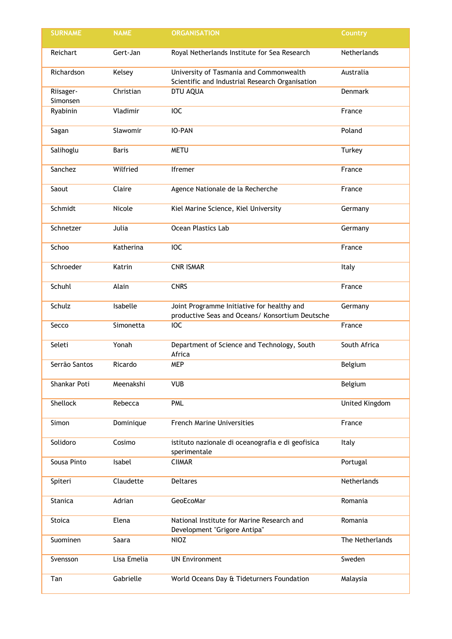| <b>SURNAME</b>        | <b>NAME</b>  | <b>ORGANISATION</b>                                                                           | Country         |
|-----------------------|--------------|-----------------------------------------------------------------------------------------------|-----------------|
| Reichart              | Gert-Jan     | Royal Netherlands Institute for Sea Research                                                  | Netherlands     |
| Richardson            | Kelsey       | University of Tasmania and Commonwealth<br>Scientific and Industrial Research Organisation    | Australia       |
| Riisager-<br>Simonsen | Christian    | DTU AQUA                                                                                      | Denmark         |
| Ryabinin              | Vladimir     | <b>IOC</b>                                                                                    | France          |
| Sagan                 | Slawomir     | IO-PAN                                                                                        | Poland          |
| Salihoglu             | <b>Baris</b> | <b>METU</b>                                                                                   | Turkey          |
| Sanchez               | Wilfried     | Ifremer                                                                                       | France          |
| Saout                 | Claire       | Agence Nationale de la Recherche                                                              | France          |
| Schmidt               | Nicole       | Kiel Marine Science, Kiel University                                                          | Germany         |
| Schnetzer             | Julia        | Ocean Plastics Lab                                                                            | Germany         |
| Schoo                 | Katherina    | <b>IOC</b>                                                                                    | France          |
| Schroeder             | Katrin       | <b>CNR ISMAR</b>                                                                              | Italy           |
| Schuhl                | Alain        | <b>CNRS</b>                                                                                   | France          |
| Schulz                | Isabelle     | Joint Programme Initiative for healthy and<br>productive Seas and Oceans/ Konsortium Deutsche | Germany         |
| Secco                 | Simonetta    | <b>IOC</b>                                                                                    | France          |
| Seleti                | Yonah        | Department of Science and Technology, South<br>Africa                                         | South Africa    |
| Serrão Santos         | Ricardo      | <b>MEP</b>                                                                                    | Belgium         |
| Shankar Poti          | Meenakshi    | <b>VUB</b>                                                                                    | Belgium         |
| Shellock              | Rebecca      | <b>PML</b>                                                                                    | United Kingdom  |
| Simon                 | Dominique    | <b>French Marine Universities</b>                                                             | France          |
| Solidoro              | Cosimo       | istituto nazionale di oceanografia e di geofisica<br>sperimentale                             | Italy           |
| Sousa Pinto           | Isabel       | <b>CIIMAR</b>                                                                                 | Portugal        |
| Spiteri               | Claudette    | <b>Deltares</b>                                                                               | Netherlands     |
| Stanica               | Adrian       | GeoEcoMar                                                                                     | Romania         |
| Stoica                | Elena        | National Institute for Marine Research and<br>Development "Grigore Antipa"                    | Romania         |
| Suominen              | Saara        | <b>NIOZ</b>                                                                                   | The Netherlands |
| Svensson              | Lisa Emelia  | <b>UN Environment</b>                                                                         | Sweden          |
| Tan                   | Gabrielle    | World Oceans Day & Tideturners Foundation                                                     | Malaysia        |